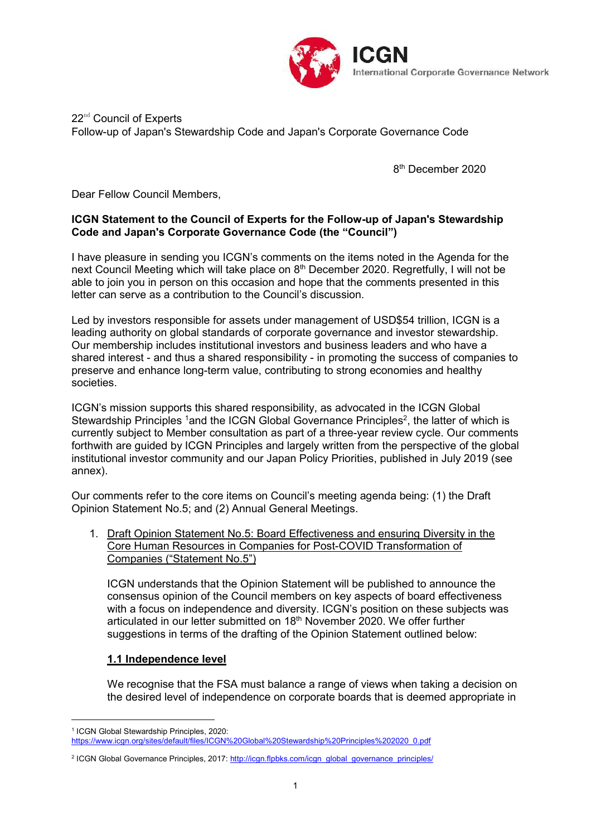

### $22<sup>nd</sup>$  Council of Experts Follow-up of Japan's Stewardship Code and Japan's Corporate Governance Code

8 th December 2020

Dear Fellow Council Members,

### **ICGN Statement to the Council of Experts for the Follow-up of Japan's Stewardship Code and Japan's Corporate Governance Code (the "Council")**

I have pleasure in sending you ICGN's comments on the items noted in the Agenda for the next Council Meeting which will take place on 8<sup>th</sup> December 2020. Regretfully, I will not be able to join you in person on this occasion and hope that the comments presented in this letter can serve as a contribution to the Council's discussion.

Led by investors responsible for assets under management of USD\$54 trillion, ICGN is a leading authority on global standards of corporate governance and investor stewardship. Our membership includes institutional investors and business leaders and who have a shared interest - and thus a shared responsibility - in promoting the success of companies to preserve and enhance long-term value, contributing to strong economies and healthy societies.

ICGN's mission supports this shared responsibility, as advocated in the ICGN Global Stewardship Principles <sup>1</sup>and the ICGN Global Governance Principles<sup>2</sup>, the latter of which is currently subject to Member consultation as part of a three-year review cycle. Our comments forthwith are guided by ICGN Principles and largely written from the perspective of the global institutional investor community and our Japan Policy Priorities, published in July 2019 (see annex).

Our comments refer to the core items on Council's meeting agenda being: (1) the Draft Opinion Statement No.5; and (2) Annual General Meetings.

1. Draft Opinion Statement No.5: Board Effectiveness and ensuring Diversity in the Core Human Resources in Companies for Post-COVID Transformation of Companies ("Statement No.5")

ICGN understands that the Opinion Statement will be published to announce the consensus opinion of the Council members on key aspects of board effectiveness with a focus on independence and diversity. ICGN's position on these subjects was articulated in our letter submitted on 18<sup>th</sup> November 2020. We offer further suggestions in terms of the drafting of the Opinion Statement outlined below:

# **1.1 Independence level**

 $\overline{a}$ 

We recognise that the FSA must balance a range of views when taking a decision on the desired level of independence on corporate boards that is deemed appropriate in

<sup>1</sup> ICGN Global Stewardship Principles, 2020: [https://www.icgn.org/sites/default/files/ICGN%20Global%20Stewardship%20Principles%202020\\_0.pdf](https://www.icgn.org/sites/default/files/ICGN%20Global%20Stewardship%20Principles%202020_0.pdf)

<sup>&</sup>lt;sup>2</sup> ICGN Global Governance Principles, 2017: [http://icgn.flpbks.com/icgn\\_global\\_governance\\_principles/](http://icgn.flpbks.com/icgn_global_governance_principles/)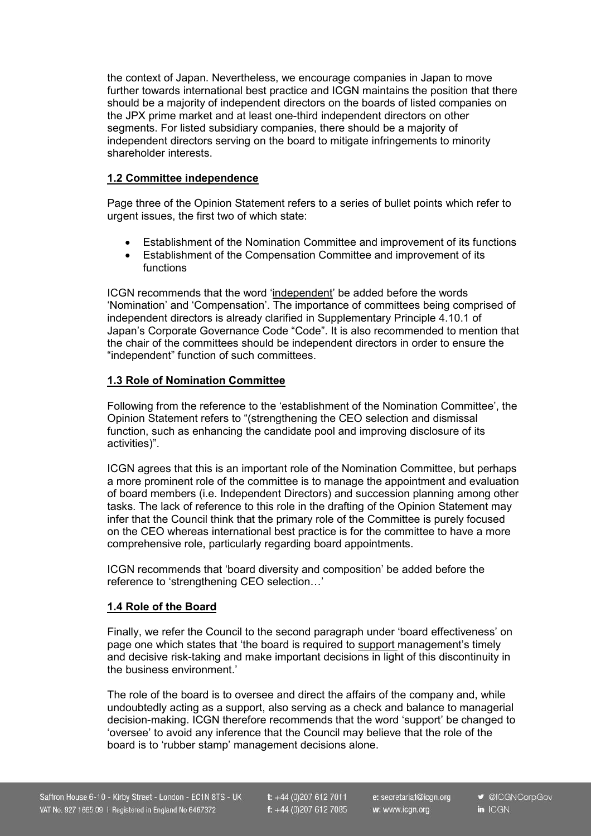the context of Japan. Nevertheless, we encourage companies in Japan to move further towards international best practice and ICGN maintains the position that there should be a majority of independent directors on the boards of listed companies on the JPX prime market and at least one-third independent directors on other segments. For listed subsidiary companies, there should be a majority of independent directors serving on the board to mitigate infringements to minority shareholder interests.

### **1.2 Committee independence**

Page three of the Opinion Statement refers to a series of bullet points which refer to urgent issues, the first two of which state:

- Establishment of the Nomination Committee and improvement of its functions
- Establishment of the Compensation Committee and improvement of its functions

ICGN recommends that the word 'independent' be added before the words 'Nomination' and 'Compensation'. The importance of committees being comprised of independent directors is already clarified in Supplementary Principle 4.10.1 of Japan's Corporate Governance Code "Code". It is also recommended to mention that the chair of the committees should be independent directors in order to ensure the "independent" function of such committees.

# **1.3 Role of Nomination Committee**

Following from the reference to the 'establishment of the Nomination Committee', the Opinion Statement refers to "(strengthening the CEO selection and dismissal function, such as enhancing the candidate pool and improving disclosure of its activities)".

ICGN agrees that this is an important role of the Nomination Committee, but perhaps a more prominent role of the committee is to manage the appointment and evaluation of board members (i.e. Independent Directors) and succession planning among other tasks. The lack of reference to this role in the drafting of the Opinion Statement may infer that the Council think that the primary role of the Committee is purely focused on the CEO whereas international best practice is for the committee to have a more comprehensive role, particularly regarding board appointments.

ICGN recommends that 'board diversity and composition' be added before the reference to 'strengthening CEO selection…'

# **1.4 Role of the Board**

Finally, we refer the Council to the second paragraph under 'board effectiveness' on page one which states that 'the board is required to support management's timely and decisive risk-taking and make important decisions in light of this discontinuity in the business environment.'

The role of the board is to oversee and direct the affairs of the company and, while undoubtedly acting as a support, also serving as a check and balance to managerial decision-making. ICGN therefore recommends that the word 'support' be changed to 'oversee' to avoid any inference that the Council may believe that the role of the board is to 'rubber stamp' management decisions alone.

 $t$ : +44 (0)207 612 7011 f:  $+44(0)2076127085$  e: secretariat@icgn.org w: www.icgn.org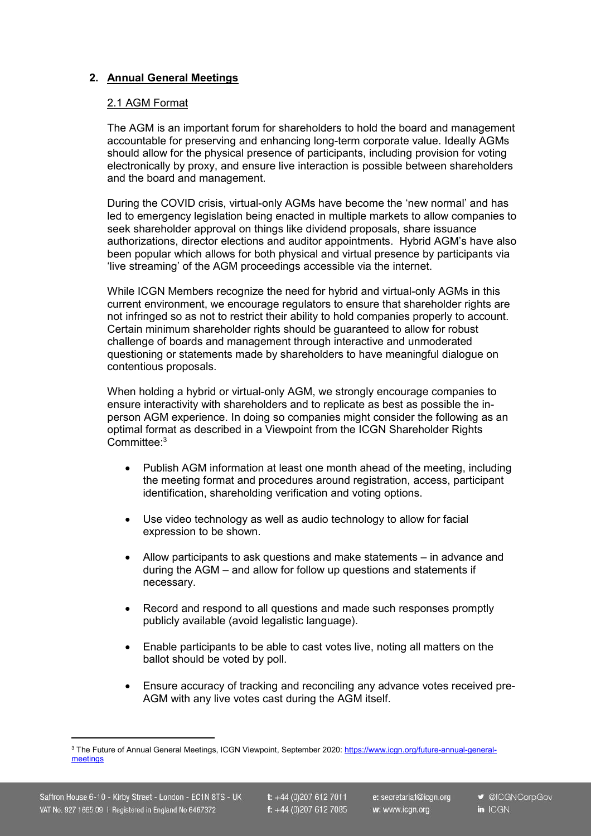# **2. Annual General Meetings**

#### 2.1 AGM Format

The AGM is an important forum for shareholders to hold the board and management accountable for preserving and enhancing long-term corporate value. Ideally AGMs should allow for the physical presence of participants, including provision for voting electronically by proxy, and ensure live interaction is possible between shareholders and the board and management.

During the COVID crisis, virtual-only AGMs have become the 'new normal' and has led to emergency legislation being enacted in multiple markets to allow companies to seek shareholder approval on things like dividend proposals, share issuance authorizations, director elections and auditor appointments. Hybrid AGM's have also been popular which allows for both physical and virtual presence by participants via 'live streaming' of the AGM proceedings accessible via the internet.

While ICGN Members recognize the need for hybrid and virtual-only AGMs in this current environment, we encourage regulators to ensure that shareholder rights are not infringed so as not to restrict their ability to hold companies properly to account. Certain minimum shareholder rights should be guaranteed to allow for robust challenge of boards and management through interactive and unmoderated questioning or statements made by shareholders to have meaningful dialogue on contentious proposals.

When holding a hybrid or virtual-only AGM, we strongly encourage companies to ensure interactivity with shareholders and to replicate as best as possible the inperson AGM experience. In doing so companies might consider the following as an optimal format as described in a Viewpoint from the ICGN Shareholder Rights Committee: 3

- Publish AGM information at least one month ahead of the meeting, including the meeting format and procedures around registration, access, participant identification, shareholding verification and voting options.
- Use video technology as well as audio technology to allow for facial expression to be shown.
- Allow participants to ask questions and make statements in advance and during the AGM – and allow for follow up questions and statements if necessary.
- Record and respond to all questions and made such responses promptly publicly available (avoid legalistic language).
- Enable participants to be able to cast votes live, noting all matters on the ballot should be voted by poll.
- Ensure accuracy of tracking and reconciling any advance votes received pre-AGM with any live votes cast during the AGM itself.

 $\overline{a}$ 

<sup>3</sup> The Future of Annual General Meetings, ICGN Viewpoint, September 2020: [https://www.icgn.org/future-annual-general](https://www.icgn.org/future-annual-general-)meetings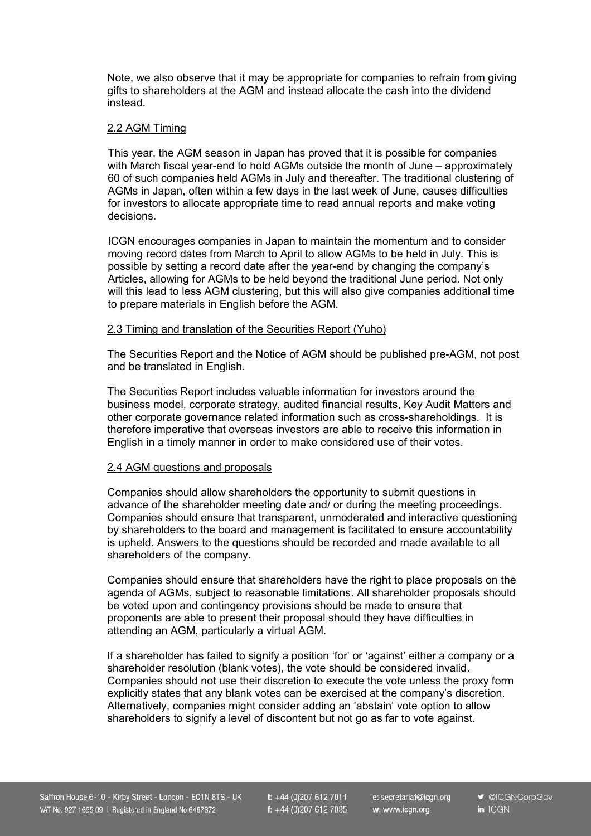Note, we also observe that it may be appropriate for companies to refrain from giving gifts to shareholders at the AGM and instead allocate the cash into the dividend instead.

### 2.2 AGM Timing

This year, the AGM season in Japan has proved that it is possible for companies with March fiscal year-end to hold AGMs outside the month of June – approximately 60 of such companies held AGMs in July and thereafter. The traditional clustering of AGMs in Japan, often within a few days in the last week of June, causes difficulties for investors to allocate appropriate time to read annual reports and make voting decisions.

ICGN encourages companies in Japan to maintain the momentum and to consider moving record dates from March to April to allow AGMs to be held in July. This is possible by setting a record date after the year-end by changing the company's Articles, allowing for AGMs to be held beyond the traditional June period. Not only will this lead to less AGM clustering, but this will also give companies additional time to prepare materials in English before the AGM.

### 2.3 Timing and translation of the Securities Report (Yuho)

The Securities Report and the Notice of AGM should be published pre-AGM, not post and be translated in English.

The Securities Report includes valuable information for investors around the business model, corporate strategy, audited financial results, Key Audit Matters and other corporate governance related information such as cross-shareholdings. It is therefore imperative that overseas investors are able to receive this information in English in a timely manner in order to make considered use of their votes.

# 2.4 AGM questions and proposals

Companies should allow shareholders the opportunity to submit questions in advance of the shareholder meeting date and/ or during the meeting proceedings. Companies should ensure that transparent, unmoderated and interactive questioning by shareholders to the board and management is facilitated to ensure accountability is upheld. Answers to the questions should be recorded and made available to all shareholders of the company.

Companies should ensure that shareholders have the right to place proposals on the agenda of AGMs, subject to reasonable limitations. All shareholder proposals should be voted upon and contingency provisions should be made to ensure that proponents are able to present their proposal should they have difficulties in attending an AGM, particularly a virtual AGM.

If a shareholder has failed to signify a position 'for' or 'against' either a company or a shareholder resolution (blank votes), the vote should be considered invalid. Companies should not use their discretion to execute the vote unless the proxy form explicitly states that any blank votes can be exercised at the company's discretion. Alternatively, companies might consider adding an 'abstain' vote option to allow shareholders to signify a level of discontent but not go as far to vote against.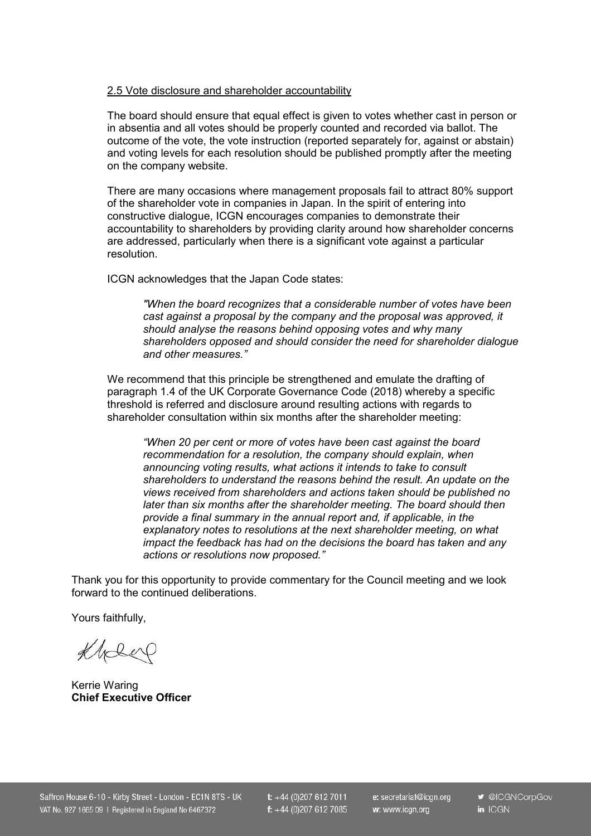### 2.5 Vote disclosure and shareholder accountability

The board should ensure that equal effect is given to votes whether cast in person or in absentia and all votes should be properly counted and recorded via ballot. The outcome of the vote, the vote instruction (reported separately for, against or abstain) and voting levels for each resolution should be published promptly after the meeting on the company website.

There are many occasions where management proposals fail to attract 80% support of the shareholder vote in companies in Japan. In the spirit of entering into constructive dialogue, ICGN encourages companies to demonstrate their accountability to shareholders by providing clarity around how shareholder concerns are addressed, particularly when there is a significant vote against a particular resolution.

ICGN acknowledges that the Japan Code states:

*"When the board recognizes that a considerable number of votes have been cast against a proposal by the company and the proposal was approved, it should analyse the reasons behind opposing votes and why many shareholders opposed and should consider the need for shareholder dialogue and other measures."*

We recommend that this principle be strengthened and emulate the drafting of paragraph 1.4 of the UK Corporate Governance Code (2018) whereby a specific threshold is referred and disclosure around resulting actions with regards to shareholder consultation within six months after the shareholder meeting:

*"When 20 per cent or more of votes have been cast against the board recommendation for a resolution, the company should explain, when announcing voting results, what actions it intends to take to consult shareholders to understand the reasons behind the result. An update on the views received from shareholders and actions taken should be published no later than six months after the shareholder meeting. The board should then provide a final summary in the annual report and, if applicable, in the explanatory notes to resolutions at the next shareholder meeting, on what impact the feedback has had on the decisions the board has taken and any actions or resolutions now proposed."*

Thank you for this opportunity to provide commentary for the Council meeting and we look forward to the continued deliberations.

Yours faithfully,

Kheep

Kerrie Waring **Chief Executive Officer**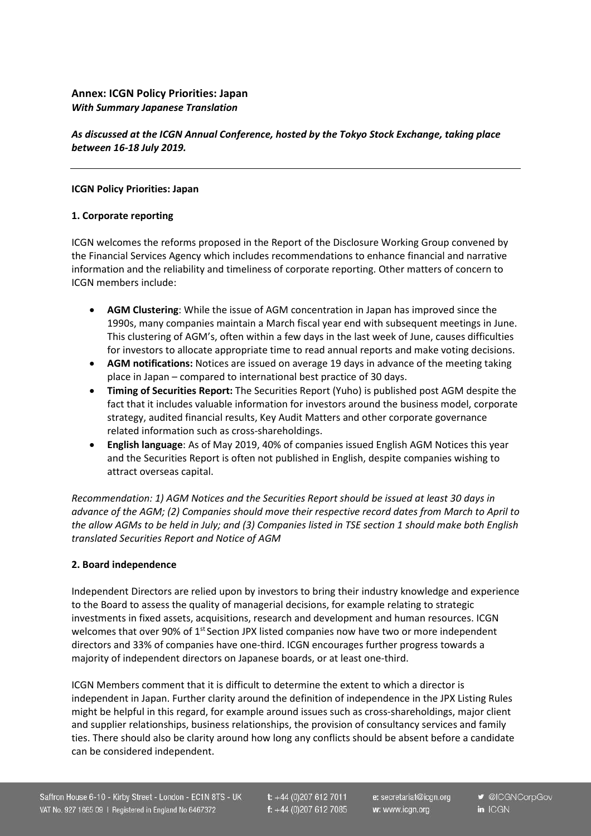### **Annex: ICGN Policy Priorities: Japan** *With Summary Japanese Translation*

*As discussed at the ICGN Annual Conference, hosted by the Tokyo Stock Exchange, taking place between 16-18 July 2019.*

#### **ICGN Policy Priorities: Japan**

### **1. Corporate reporting**

ICGN welcomes the reforms proposed in the Report of the Disclosure Working Group convened by the Financial Services Agency which includes recommendations to enhance financial and narrative information and the reliability and timeliness of corporate reporting. Other matters of concern to ICGN members include:

- **AGM Clustering**: While the issue of AGM concentration in Japan has improved since the 1990s, many companies maintain a March fiscal year end with subsequent meetings in June. This clustering of AGM's, often within a few days in the last week of June, causes difficulties for investors to allocate appropriate time to read annual reports and make voting decisions.
- **AGM notifications:** Notices are issued on average 19 days in advance of the meeting taking place in Japan – compared to international best practice of 30 days.
- **Timing of Securities Report:** The Securities Report (Yuho) is published post AGM despite the fact that it includes valuable information for investors around the business model, corporate strategy, audited financial results, Key Audit Matters and other corporate governance related information such as cross-shareholdings.
- **English language**: As of May 2019, 40% of companies issued English AGM Notices this year and the Securities Report is often not published in English, despite companies wishing to attract overseas capital.

*Recommendation: 1) AGM Notices and the Securities Report should be issued at least 30 days in advance of the AGM; (2) Companies should move their respective record dates from March to April to* the allow AGMs to be held in July; and (3) Companies listed in TSE section 1 should make both English *translated Securities Report and Notice of AGM*

### **2. Board independence**

Independent Directors are relied upon by investors to bring their industry knowledge and experience to the Board to assess the quality of managerial decisions, for example relating to strategic investments in fixed assets, acquisitions, research and development and human resources. ICGN welcomes that over 90% of 1<sup>st</sup> Section JPX listed companies now have two or more independent directors and 33% of companies have one-third. ICGN encourages further progress towards a majority of independent directors on Japanese boards, or at least one-third.

ICGN Members comment that it is difficult to determine the extent to which a director is independent in Japan. Further clarity around the definition of independence in the JPX Listing Rules might be helpful in this regard, for example around issues such as cross-shareholdings, major client and supplier relationships, business relationships, the provision of consultancy services and family ties. There should also be clarity around how long any conflicts should be absent before a candidate can be considered independent.

t:  $+44(0)2076127011$ f:  $+44(0)2076127085$  e: secretariat@icgn.org w: www.icgn.org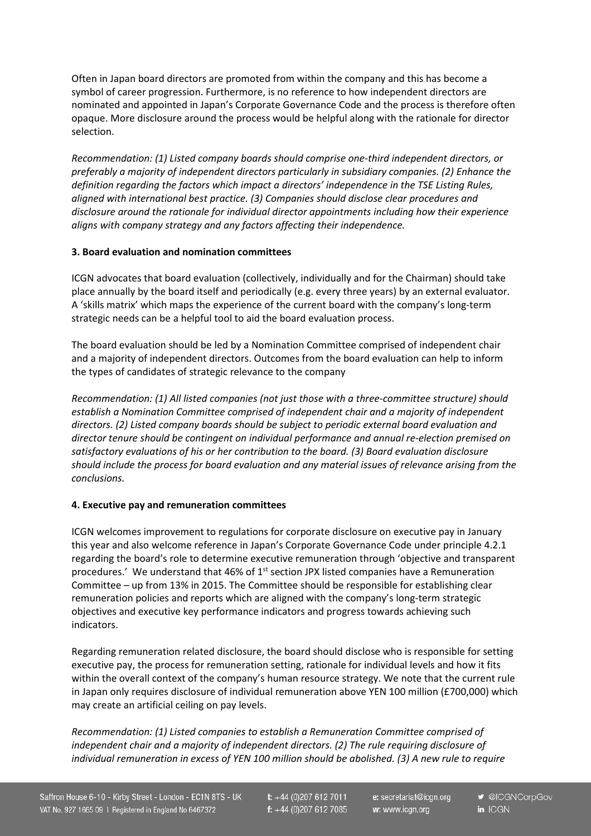Often in Japan board directors are promoted from within the company and this has become a symbol of career progression. Furthermore, is no reference to how independent directors are nominated and appointed in Japan's Corporate Governance Code and the process is therefore often opaque. More disclosure around the process would be helpful along with the rationale for director selection.

*Recommendation: (1) Listed company boards should comprise one-third independent directors, or preferably a majority of independent directors particularly in subsidiary companies. (2) Enhance the definition regarding the factors which impact a directors' independence in the TSE Listing Rules, aligned with international best practice. (3) Companies should disclose clear procedures and disclosure around the rationale for individual director appointments including how their experience aligns with company strategy and any factors affecting their independence.*

### **3. Board evaluation and nomination committees**

ICGN advocates that board evaluation (collectively, individually and for the Chairman) should take place annually by the board itself and periodically (e.g. every three years) by an external evaluator. A 'skills matrix' which maps the experience of the current board with the company's long-term strategic needs can be a helpful tool to aid the board evaluation process.

The board evaluation should be led by a Nomination Committee comprised of independent chair and a majority of independent directors. Outcomes from the board evaluation can help to inform the types of candidates of strategic relevance to the company

*Recommendation: (1) All listed companies (not just those with a three-committee structure) should establish a Nomination Committee comprised of independent chair and a majority of independent directors. (2) Listed company boards should be subject to periodic external board evaluation and director tenure should be contingent on individual performance and annual re-election premised on satisfactory evaluations of his or her contribution to the board. (3) Board evaluation disclosure should include the process for board evaluation and any material issues of relevance arising from the conclusions.*

# **4. Executive pay and remuneration committees**

ICGN welcomes improvement to regulations for corporate disclosure on executive pay in January this year and also welcome reference in Japan's Corporate Governance Code under principle 4.2.1 regarding the board's role to determine executive remuneration through 'objective and transparent procedures.' We understand that 46% of 1<sup>st</sup> section JPX listed companies have a Remuneration Committee – up from 13% in 2015. The Committee should be responsible for establishing clear remuneration policies and reports which are aligned with the company's long-term strategic objectives and executive key performance indicators and progress towards achieving such indicators.

Regarding remuneration related disclosure, the board should disclose who is responsible for setting executive pay, the process for remuneration setting, rationale for individual levels and how it fits within the overall context of the company's human resource strategy. We note that the current rule in Japan only requires disclosure of individual remuneration above YEN 100 million (£700,000) which may create an artificial ceiling on pay levels.

*Recommendation: (1) Listed companies to establish a Remuneration Committee comprised of independent chair and a majority of independent directors. (2) The rule requiring disclosure of individual remuneration in excess of YEN 100 million should be abolished. (3) A new rule to require*

 $t$ : +44 (0)207 612 7011 f:  $+44(0)2076127085$  e: secretariat@icgn.org w: www.icgn.org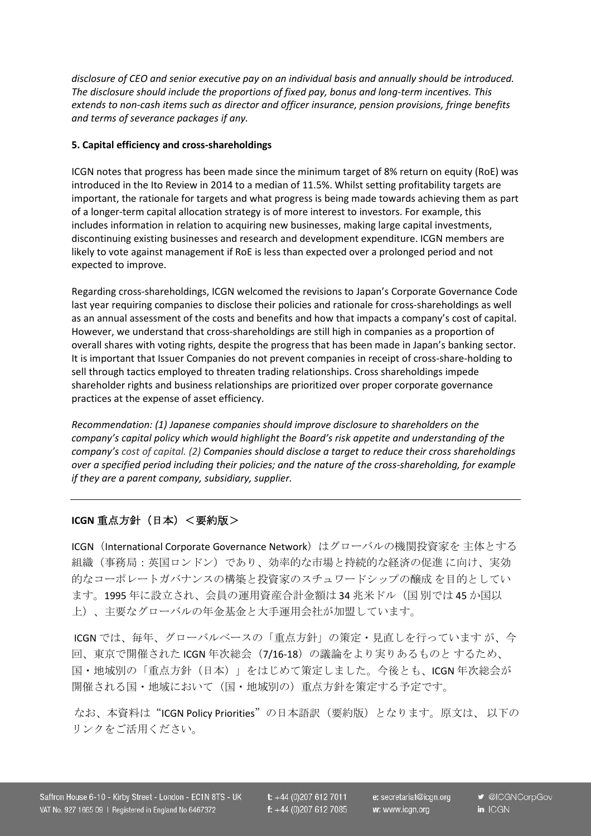*disclosure of CEO and senior executive pay on an individual basis and annually should be introduced. The disclosure should include the proportions of fixed pay, bonus and long-term incentives. This extends to non-cash items such as director and officer insurance, pension provisions, fringe benefits and terms of severance packages if any.*

#### **5. Capital efficiency and cross-shareholdings**

ICGN notes that progress has been made since the minimum target of 8% return on equity (RoE) was introduced in the Ito Review in 2014 to a median of 11.5%. Whilst setting profitability targets are important, the rationale for targets and what progress is being made towards achieving them as part of a longer-term capital allocation strategy is of more interest to investors. For example, this includes information in relation to acquiring new businesses, making large capital investments, discontinuing existing businesses and research and development expenditure. ICGN members are likely to vote against management if RoE is less than expected over a prolonged period and not expected to improve.

Regarding cross-shareholdings, ICGN welcomed the revisions to Japan's Corporate Governance Code last year requiring companies to disclose their policies and rationale for cross-shareholdings as well as an annual assessment of the costs and benefits and how that impacts a company's cost of capital. However, we understand that cross-shareholdings are still high in companies as a proportion of overall shares with voting rights, despite the progress that has been made in Japan's banking sector. It is important that Issuer Companies do not prevent companies in receipt of cross-share-holding to sell through tactics employed to threaten trading relationships. Cross shareholdings impede shareholder rights and business relationships are prioritized over proper corporate governance practices at the expense of asset efficiency.

*Recommendation: (1) Japanese companies should improve disclosure to shareholders on the company's capital policy which would highlight the Board's risk appetite and understanding of the company's cost of capital. (2) Companies should disclose a target to reduce their cross shareholdings over a specified period including their policies; and the nature of the cross-shareholding, for example if they are a parent company, subsidiary, supplier.*

### **ICGN** 重点方針(日本)<要約版>

ICGN (International Corporate Governance Network)はグローバルの機関投資家を 主体とする 組織(事務局:英国ロンドン)であり、効率的な市場と持続的な経済の促進 に向け、実効 的なコーポレートガバナンスの構築と投資家のスチュワードシップの醸成 を目的としてい ます。1995 年に設立され、会員の運用資産合計金額は 34 兆米ドル(国 別では 45 か国以 上)、主要なグローバルの年金基金と大手運用会社が加盟しています。

ICGN では、毎年、グローバルベースの「重点方針」の策定・見直しを行っています が、今 回、東京で開催された ICGN 年次総会(7/16-18)の議論をより実りあるものと するため、 国・地域別の「重点方針(日本)」をはじめて策定しました。今後とも、ICGN 年次総会が 開催される国・地域において(国・地域別の)重点方針を策定する予定です。

なお、本資料は"ICGN Policy Priorities"の日本語訳 (要約版)となります。原文は、以下の リンクをご活用ください。